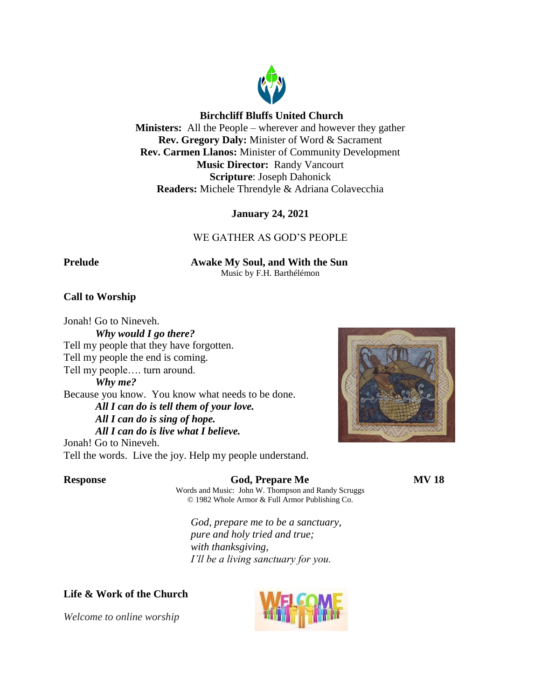

## **Birchcliff Bluffs United Church**

**Ministers:** All the People – wherever and however they gather **Rev. Gregory Daly:** Minister of Word & Sacrament **Rev. Carmen Llanos:** Minister of Community Development **Music Director:** Randy Vancourt **Scripture**: Joseph Dahonick **Readers:** Michele Threndyle & Adriana Colavecchia

**January 24, 2021**

# WE GATHER AS GOD'S PEOPLE

**Prelude** Awake My Soul, and With the Sun Music by F.H. Barthélémon

## **Call to Worship**

Jonah! Go to Nineveh. *Why would I go there?* Tell my people that they have forgotten. Tell my people the end is coming. Tell my people…. turn around. *Why me?* Because you know. You know what needs to be done. *All I can do is tell them of your love. All I can do is sing of hope. All I can do is live what I believe.* Jonah! Go to Nineveh.



Tell the words. Live the joy. Help my people understand.

## **Response God, Prepare Me MV 18**

Words and Music: John W. Thompson and Randy Scruggs © 1982 Whole Armor & Full Armor Publishing Co.

*God, prepare me to be a sanctuary, pure and holy tried and true; with thanksgiving, I'll be a living sanctuary for you.*

**Life & Work of the Church** 



*Welcome to online worship*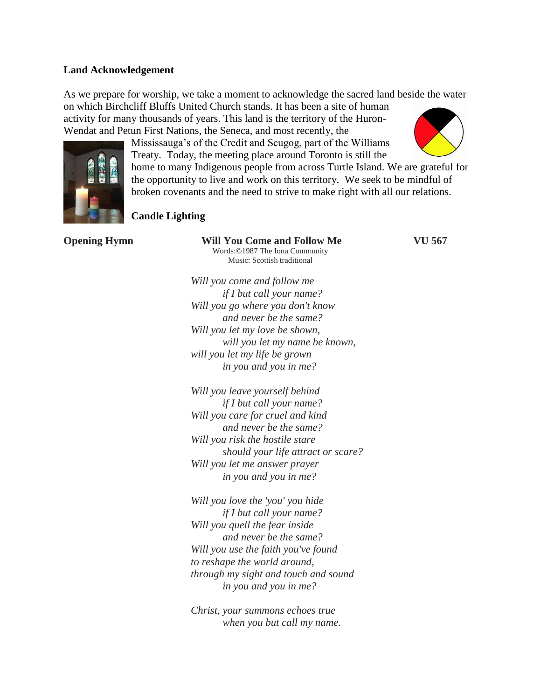## **Land Acknowledgement**

As we prepare for worship, we take a moment to acknowledge the sacred land beside the water on which Birchcliff Bluffs United Church stands. It has been a site of human activity for many thousands of years. This land is the territory of the Huron-

Wendat and Petun First Nations, the Seneca, and most recently, the Mississauga's of the Credit and Scugog, part of the Williams





Treaty. Today, the meeting place around Toronto is still the home to many Indigenous people from across Turtle Island. We are grateful for

the opportunity to live and work on this territory. We seek to be mindful of broken covenants and the need to strive to make right with all our relations.

**Candle Lighting**

| <b>Opening Hymn</b> | Will You     |
|---------------------|--------------|
|                     | Words:C      |
|                     | Mus          |
|                     | Will you con |
|                     | iff1         |
|                     | Will you go  |
|                     | and          |
|                     | Will you let |
|                     | will         |
|                     | will you let |
|                     | in ye        |

**Opening Hymn William William William William William William William William William William William William W** 1987 The Iona Community sic: Scottish traditional

me and follow me  *if I but call your name? where you don't know never be the same? my love be shown, will you let my name be known, my life be grown in you and you in me?*

*Will you leave yourself behind if I but call your name? Will you care for cruel and kind and never be the same? Will you risk the hostile stare should your life attract or scare? Will you let me answer prayer in you and you in me?*

*Will you love the 'you' you hide if I but call your name? Will you quell the fear inside and never be the same? Will you use the faith you've found to reshape the world around, through my sight and touch and sound in you and you in me?*

*Christ, your summons echoes true when you but call my name.*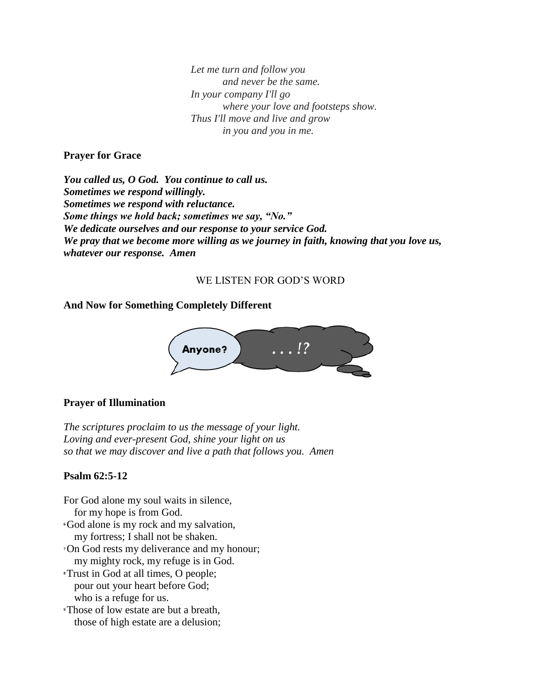*Let me turn and follow you and never be the same. In your company I'll go where your love and footsteps show. Thus I'll move and live and grow in you and you in me.*

# **Prayer for Grace**

*You called us, O God. You continue to call us. Sometimes we respond willingly. Sometimes we respond with reluctance. Some things we hold back; sometimes we say, "No." We dedicate ourselves and our response to your service God. We pray that we become more willing as we journey in faith, knowing that you love us, whatever our response. Amen*

# WE LISTEN FOR GOD'S WORD

# **And Now for Something Completely Different**



## **Prayer of Illumination**

*The scriptures proclaim to us the message of your light. Loving and ever-present God, shine your light on us so that we may discover and live a path that follows you. Amen*

## **Psalm 62:5-12**

For God alone my soul waits in silence, for my hope is from God. **<sup>6</sup>**God alone is my rock and my salvation, my fortress; I shall not be shaken. **<sup>7</sup>**On God rests my deliverance and my honour; my mighty rock, my refuge is in God. **<sup>8</sup>**Trust in God at all times, O people;

- pour out your heart before God; who is a refuge for us.
- **<sup>9</sup>**Those of low estate are but a breath, those of high estate are a delusion;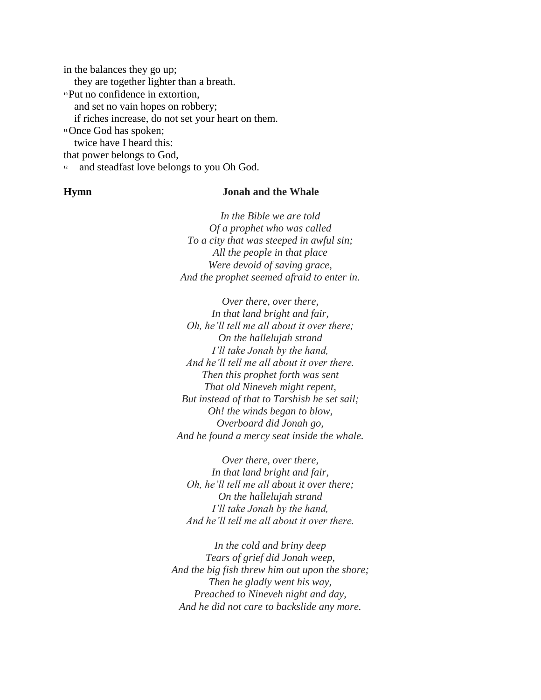in the balances they go up; they are together lighter than a breath. **<sup>10</sup>**Put no confidence in extortion, and set no vain hopes on robbery; if riches increase, do not set your heart on them. **<sup>11</sup>**Once God has spoken; twice have I heard this: that power belongs to God, **12** and steadfast love belongs to you Oh God.

## **Hymn Jonah and the Whale**

*In the Bible we are told Of a prophet who was called To a city that was steeped in awful sin; All the people in that place Were devoid of saving grace, And the prophet seemed afraid to enter in.*

*Over there, over there, In that land bright and fair, Oh, he'll tell me all about it over there; On the hallelujah strand I'll take Jonah by the hand, And he'll tell me all about it over there. Then this prophet forth was sent That old Nineveh might repent, But instead of that to Tarshish he set sail; Oh! the winds began to blow, Overboard did Jonah go, And he found a mercy seat inside the whale.*

*Over there, over there, In that land bright and fair, Oh, he'll tell me all about it over there; On the hallelujah strand I'll take Jonah by the hand, And he'll tell me all about it over there.*

*In the cold and briny deep Tears of grief did Jonah weep, And the big fish threw him out upon the shore; Then he gladly went his way, Preached to Nineveh night and day, And he did not care to backslide any more.*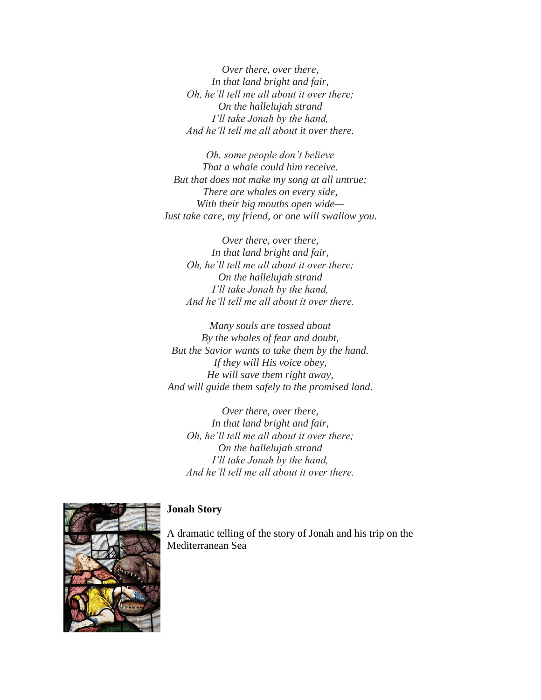*Over there, over there, In that land bright and fair, Oh, he'll tell me all about it over there; On the hallelujah strand I'll take Jonah by the hand, And he'll tell me all about it over there.*

*Oh, some people don't believe That a whale could him receive. But that does not make my song at all untrue; There are whales on every side, With their big mouths open wide— Just take care, my friend, or one will swallow you.*

> *Over there, over there, In that land bright and fair, Oh, he'll tell me all about it over there; On the hallelujah strand I'll take Jonah by the hand, And he'll tell me all about it over there.*

*Many souls are tossed about By the whales of fear and doubt, But the Savior wants to take them by the hand. If they will His voice obey, He will save them right away, And will guide them safely to the promised land.*

*Over there, over there, In that land bright and fair, Oh, he'll tell me all about it over there; On the hallelujah strand I'll take Jonah by the hand, And he'll tell me all about it over there.*



### **Jonah Story**

A dramatic telling of the story of Jonah and his trip on the Mediterranean Sea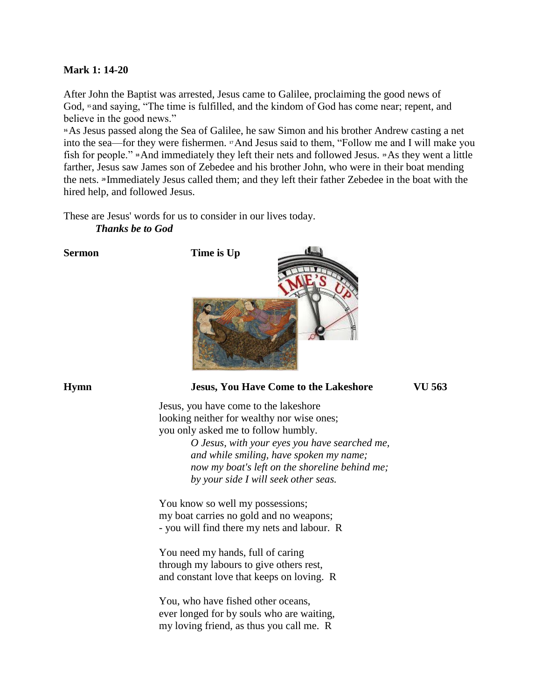# **Mark 1: 14-20**

After John the Baptist was arrested, Jesus came to Galilee, proclaiming the good news of God, **15** and saying, "The time is fulfilled, and the kindom of God has come near; repent, and believe in the good news."

**<sup>16</sup>**As Jesus passed along the Sea of Galilee, he saw Simon and his brother Andrew casting a net into the sea—for they were fishermen. **<sup>17</sup>**And Jesus said to them, "Follow me and I will make you fish for people." **<sup>18</sup>**And immediately they left their nets and followed Jesus. **<sup>19</sup>**As they went a little farther, Jesus saw James son of Zebedee and his brother John, who were in their boat mending the nets. **<sup>20</sup>** Immediately Jesus called them; and they left their father Zebedee in the boat with the hired help, and followed Jesus.

These are Jesus' words for us to consider in our lives today. *Thanks be to God*



## **Hymn Jesus, You Have Come to the Lakeshore VU 563**

Jesus, you have come to the lakeshore looking neither for wealthy nor wise ones; you only asked me to follow humbly.

> *O Jesus, with your eyes you have searched me, and while smiling, have spoken my name; now my boat's left on the shoreline behind me; by your side I will seek other seas.*

You know so well my possessions; my boat carries no gold and no weapons; - you will find there my nets and labour. R

You need my hands, full of caring through my labours to give others rest, and constant love that keeps on loving. R

You, who have fished other oceans, ever longed for by souls who are waiting, my loving friend, as thus you call me. R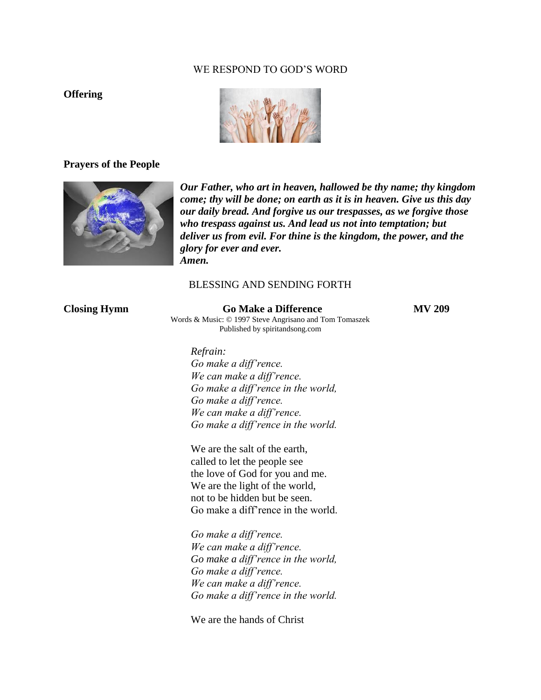## WE RESPOND TO GOD'S WORD

## **Offering**



### **Prayers of the People**



*Our Father, who art in heaven, hallowed be thy name; thy kingdom come; thy will be done; on earth as it is in heaven. Give us this day our daily bread. And forgive us our trespasses, as we forgive those who trespass against us. And lead us not into temptation; but deliver us from evil. For thine is the kingdom, the power, and the glory for ever and ever. Amen.*

# BLESSING AND SENDING FORTH

**Closing Hymn Go Make a Difference MV 209** Words & Music: © 1997 Steve Angrisano and Tom Tomaszek Published by spiritandsong.com

*Refrain: Go make a diff'rence. We can make a diff'rence. Go make a diff'rence in the world, Go make a diff'rence. We can make a diff'rence. Go make a diff'rence in the world.*

We are the salt of the earth, called to let the people see the love of God for you and me. We are the light of the world, not to be hidden but be seen. Go make a diff'rence in the world.

*Go make a diff'rence. We can make a diff'rence. Go make a diff'rence in the world, Go make a diff'rence. We can make a diff'rence. Go make a diff'rence in the world.*

We are the hands of Christ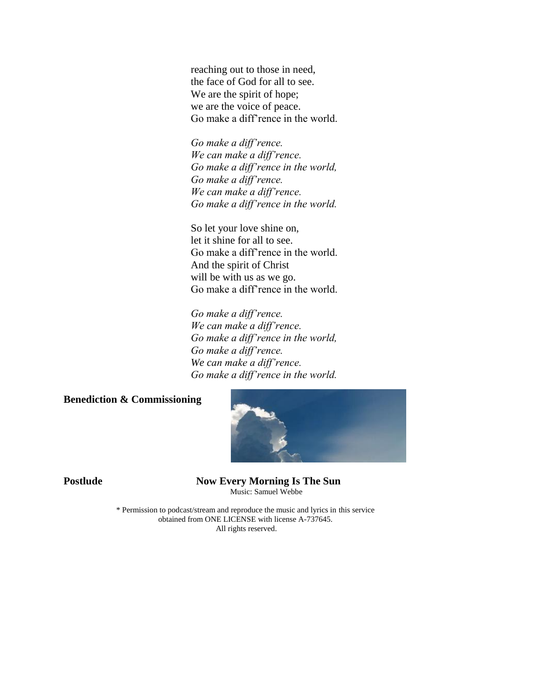reaching out to those in need, the face of God for all to see. We are the spirit of hope; we are the voice of peace. Go make a diff'rence in the world.

*Go make a diff'rence. We can make a diff'rence. Go make a diff'rence in the world, Go make a diff'rence. We can make a diff'rence. Go make a diff'rence in the world.*

So let your love shine on, let it shine for all to see. Go make a diff'rence in the world. And the spirit of Christ will be with us as we go. Go make a diff'rence in the world.

*Go make a diff'rence. We can make a diff'rence. Go make a diff'rence in the world, Go make a diff'rence. We can make a diff'rence. Go make a diff'rence in the world.*

## **Benediction & Commissioning**



**Postlude Now Every Morning Is The Sun** Music: Samuel Webbe

> \* Permission to podcast/stream and reproduce the music and lyrics in this service obtained from ONE LICENSE with license A-737645. All rights reserved.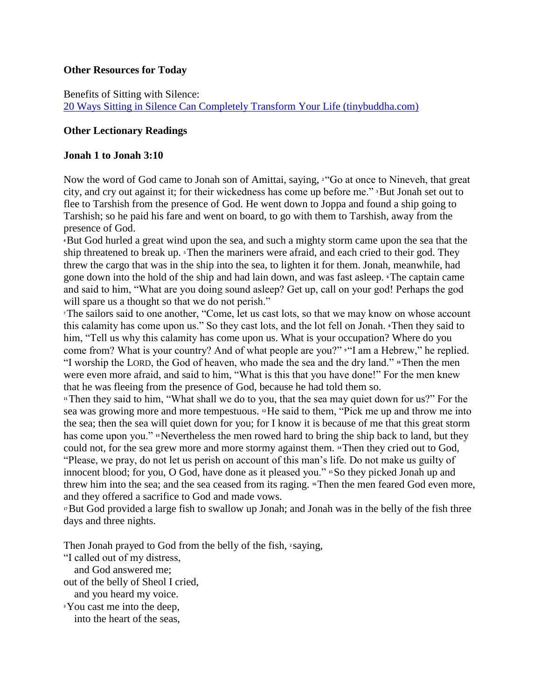# **Other Resources for Today**

Benefits of Sitting with Silence: [20 Ways Sitting in Silence Can Completely Transform Your Life \(tinybuddha.com\)](https://tinybuddha.com/blog/20-ways-sitting-silence-can-completely-transform-your-life/)

# **Other Lectionary Readings**

# **Jonah 1 to Jonah 3:10**

Now the word of God came to Jonah son of Amittai, saying, **<sup>2</sup>** "Go at once to Nineveh, that great city, and cry out against it; for their wickedness has come up before me." **<sup>3</sup>**But Jonah set out to flee to Tarshish from the presence of God. He went down to Joppa and found a ship going to Tarshish; so he paid his fare and went on board, to go with them to Tarshish, away from the presence of God.

**<sup>4</sup>**But God hurled a great wind upon the sea, and such a mighty storm came upon the sea that the ship threatened to break up. **<sup>5</sup>**Then the mariners were afraid, and each cried to their god. They threw the cargo that was in the ship into the sea, to lighten it for them. Jonah, meanwhile, had gone down into the hold of the ship and had lain down, and was fast asleep. **<sup>6</sup>**The captain came and said to him, "What are you doing sound asleep? Get up, call on your god! Perhaps the god will spare us a thought so that we do not perish."

**<sup>7</sup>**The sailors said to one another, "Come, let us cast lots, so that we may know on whose account this calamity has come upon us." So they cast lots, and the lot fell on Jonah. **<sup>8</sup>**Then they said to him, "Tell us why this calamity has come upon us. What is your occupation? Where do you come from? What is your country? And of what people are you?" <sup>9</sup> "I am a Hebrew," he replied. "I worship the LORD, the God of heaven, who made the sea and the dry land." **<sup>10</sup>**Then the men were even more afraid, and said to him, "What is this that you have done!" For the men knew that he was fleeing from the presence of God, because he had told them so.

**<sup>11</sup>**Then they said to him, "What shall we do to you, that the sea may quiet down for us?" For the sea was growing more and more tempestuous. **<sup>12</sup>**He said to them, "Pick me up and throw me into the sea; then the sea will quiet down for you; for I know it is because of me that this great storm has come upon you." **<sup>13</sup>**Nevertheless the men rowed hard to bring the ship back to land, but they could not, for the sea grew more and more stormy against them. **<sup>14</sup>**Then they cried out to God, "Please, we pray, do not let us perish on account of this man's life. Do not make us guilty of innocent blood; for you, O God, have done as it pleased you." **<sup>15</sup>**So they picked Jonah up and threw him into the sea; and the sea ceased from its raging. **<sup>16</sup>**Then the men feared God even more, and they offered a sacrifice to God and made vows.

**<sup>17</sup>**But God provided a large fish to swallow up Jonah; and Jonah was in the belly of the fish three days and three nights.

Then Jonah prayed to God from the belly of the fish, **<sup>2</sup>** saying,

"I called out of my distress,

and God answered me;

out of the belly of Sheol I cried,

and you heard my voice.

**<sup>3</sup>**You cast me into the deep,

into the heart of the seas,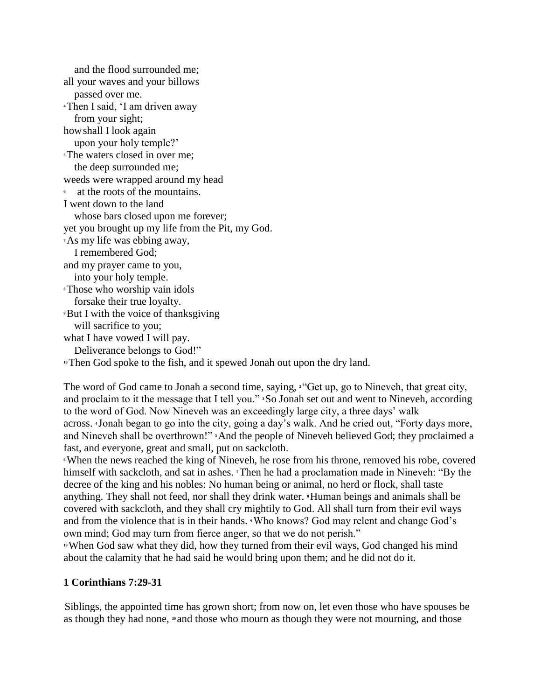and the flood surrounded me; all your waves and your billows passed over me. **<sup>4</sup>**Then I said, 'I am driven away from your sight; howshall I look again upon your holy temple?' **<sup>5</sup>**The waters closed in over me; the deep surrounded me; weeds were wrapped around my head **6** at the roots of the mountains. I went down to the land whose bars closed upon me forever; yet you brought up my life from the Pit, my God. **<sup>7</sup>**As my life was ebbing away, I remembered God; and my prayer came to you, into your holy temple. **<sup>8</sup>**Those who worship vain idols forsake their true loyalty. **<sup>9</sup>**But I with the voice of thanksgiving will sacrifice to you; what I have vowed I will pay. Deliverance belongs to God!" **<sup>10</sup>**Then God spoke to the fish, and it spewed Jonah out upon the dry land.

The word of God came to Jonah a second time, saying, <sup>2</sup> "Get up, go to Nineveh, that great city, and proclaim to it the message that I tell you." **<sup>3</sup>**So Jonah set out and went to Nineveh, according to the word of God. Now Nineveh was an exceedingly large city, a three days' walk across. **<sup>4</sup>** Jonah began to go into the city, going a day's walk. And he cried out, "Forty days more, and Nineveh shall be overthrown!" **<sup>5</sup>**And the people of Nineveh believed God; they proclaimed a fast, and everyone, great and small, put on sackcloth.

**<sup>6</sup>**When the news reached the king of Nineveh, he rose from his throne, removed his robe, covered himself with sackcloth, and sat in ashes. **Then he had a proclamation made in Nineveh:** "By the decree of the king and his nobles: No human being or animal, no herd or flock, shall taste anything. They shall not feed, nor shall they drink water. **<sup>8</sup>**Human beings and animals shall be covered with sackcloth, and they shall cry mightily to God. All shall turn from their evil ways and from the violence that is in their hands. **<sup>9</sup>**Who knows? God may relent and change God's own mind; God may turn from fierce anger, so that we do not perish."

**<sup>10</sup>**When God saw what they did, how they turned from their evil ways, God changed his mind about the calamity that he had said he would bring upon them; and he did not do it.

## **1 Corinthians 7:29-31**

Siblings, the appointed time has grown short; from now on, let even those who have spouses be as though they had none, **\*\*** and those who mourn as though they were not mourning, and those